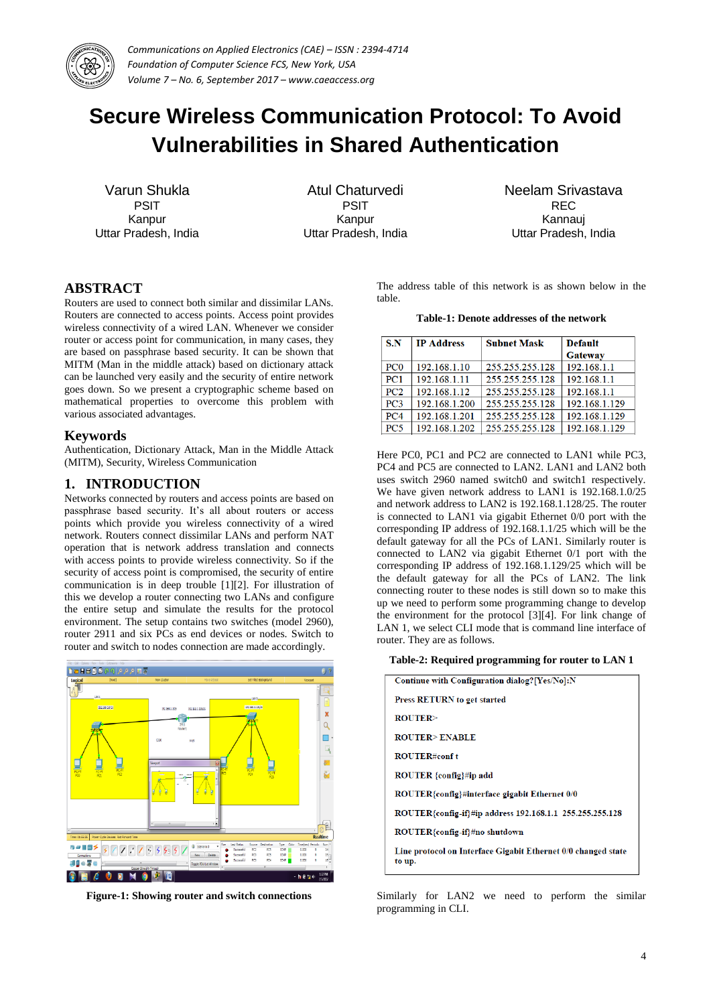

# **Secure Wireless Communication Protocol: To Avoid Vulnerabilities in Shared Authentication**

Varun Shukla PSIT Kanpur Uttar Pradesh, India

Atul Chaturvedi PSIT Kanpur Uttar Pradesh, India Neelam Srivastava REC Kannauj Uttar Pradesh, India

# **ABSTRACT**

Routers are used to connect both similar and dissimilar LANs. Routers are connected to access points. Access point provides wireless connectivity of a wired LAN. Whenever we consider router or access point for communication, in many cases, they are based on passphrase based security. It can be shown that MITM (Man in the middle attack) based on dictionary attack can be launched very easily and the security of entire network goes down. So we present a cryptographic scheme based on mathematical properties to overcome this problem with various associated advantages.

#### **Keywords**

Authentication, Dictionary Attack, Man in the Middle Attack (MITM), Security, Wireless Communication

#### **1. INTRODUCTION**

Networks connected by routers and access points are based on passphrase based security. It's all about routers or access points which provide you wireless connectivity of a wired network. Routers connect dissimilar LANs and perform NAT operation that is network address translation and connects with access points to provide wireless connectivity. So if the security of access point is compromised, the security of entire communication is in deep trouble [1][2]. For illustration of this we develop a router connecting two LANs and configure the entire setup and simulate the results for the protocol environment. The setup contains two switches (model 2960), router 2911 and six PCs as end devices or nodes. Switch to router and switch to nodes connection are made accordingly.



**Figure-1: Showing router and switch connections**

The address table of this network is as shown below in the table.

#### **Table-1: Denote addresses of the network**

| S.N                         | <b>IP Address</b> | <b>Subnet Mask</b> | <b>Default</b><br><b>Gateway</b> |
|-----------------------------|-------------------|--------------------|----------------------------------|
| P <sub>C</sub> <sub>0</sub> | 192.168.1.10      | 255.255.255.128    | 192.168.1.1                      |
| PC <sub>1</sub>             | 192.168.1.11      | 255.255.255.128    | 192.168.1.1                      |
| PC2                         | 192.168.1.12      | 255.255.255.128    | 192.168.1.1                      |
| PC3                         | 192.168.1.200     | 255.255.255.128    | 192.168.1.129                    |
| PC4                         | 192.168.1.201     | 255.255.255.128    | 192.168.1.129                    |
| PC <sub>5</sub>             | 192.168.1.202     | 255.255.255.128    | 192.168.1.129                    |

Here PC0, PC1 and PC2 are connected to LAN1 while PC3, PC4 and PC5 are connected to LAN2. LAN1 and LAN2 both uses switch 2960 named switch0 and switch1 respectively. We have given network address to LAN1 is 192.168.1.0/25 and network address to LAN2 is 192.168.1.128/25. The router is connected to LAN1 via gigabit Ethernet 0/0 port with the corresponding IP address of 192.168.1.1/25 which will be the default gateway for all the PCs of LAN1. Similarly router is connected to LAN2 via gigabit Ethernet 0/1 port with the corresponding IP address of 192.168.1.129/25 which will be the default gateway for all the PCs of LAN2. The link connecting router to these nodes is still down so to make this up we need to perform some programming change to develop the environment for the protocol [3][4]. For link change of LAN 1, we select CLI mode that is command line interface of router. They are as follows.

#### **Table-2: Required programming for router to LAN 1**

| Continue with Configuration dialog?[Yes/No]:N                           |  |  |  |
|-------------------------------------------------------------------------|--|--|--|
| Press RETURN to get started                                             |  |  |  |
| ROITER                                                                  |  |  |  |
| <b>ROUTER&gt;ENABLE</b>                                                 |  |  |  |
| <b>ROUTER#conf t</b>                                                    |  |  |  |
| ROUTER {config}#ip add                                                  |  |  |  |
| ROUTER{config}#interface gigabit Ethernet 0/0                           |  |  |  |
| ROUTER{config-if}#ip address 192.168.1.1 255.255.255.128                |  |  |  |
| ROUTER{config-if}#no shutdown                                           |  |  |  |
| Line protocol on Interface Gigabit Ethernet 0/0 changed state<br>to up. |  |  |  |

Similarly for LAN2 we need to perform the similar programming in CLI.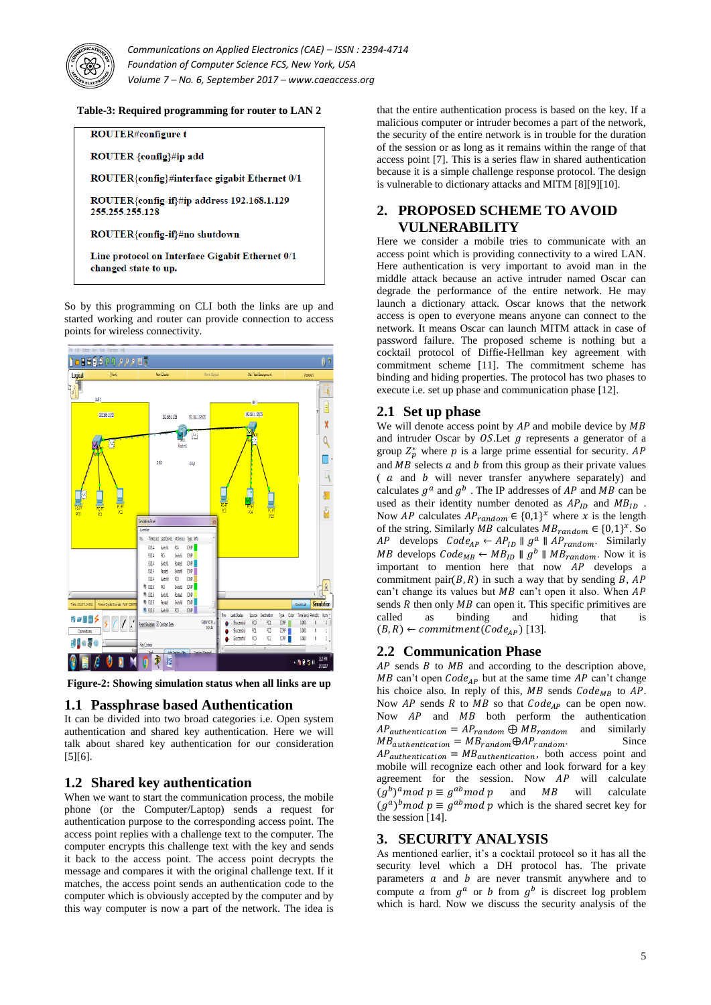

#### **Table-3: Required programming for router to LAN 2**



So by this programming on CLI both the links are up and started working and router can provide connection to access points for wireless connectivity.



**Figure-2: Showing simulation status when all links are up**

# **1.1 Passphrase based Authentication**

It can be divided into two broad categories i.e. Open system authentication and shared key authentication. Here we will talk about shared key authentication for our consideration [5][6].

# **1.2 Shared key authentication**

When we want to start the communication process, the mobile phone (or the Computer/Laptop) sends a request for authentication purpose to the corresponding access point. The access point replies with a challenge text to the computer. The computer encrypts this challenge text with the key and sends it back to the access point. The access point decrypts the message and compares it with the original challenge text. If it matches, the access point sends an authentication code to the computer which is obviously accepted by the computer and by this way computer is now a part of the network. The idea is

that the entire authentication process is based on the key. If a malicious computer or intruder becomes a part of the network, the security of the entire network is in trouble for the duration of the session or as long as it remains within the range of that access point [7]. This is a series flaw in shared authentication because it is a simple challenge response protocol. The design is vulnerable to dictionary attacks and MITM [8][9][10].

# **2. PROPOSED SCHEME TO AVOID VULNERABILITY**

Here we consider a mobile tries to communicate with an access point which is providing connectivity to a wired LAN. Here authentication is very important to avoid man in the middle attack because an active intruder named Oscar can degrade the performance of the entire network. He may launch a dictionary attack. Oscar knows that the network access is open to everyone means anyone can connect to the network. It means Oscar can launch MITM attack in case of password failure. The proposed scheme is nothing but a cocktail protocol of Diffie-Hellman key agreement with commitment scheme [11]. The commitment scheme has binding and hiding properties. The protocol has two phases to execute i.e. set up phase and communication phase [12].

#### **2.1 Set up phase**

We will denote access point by  $AP$  and mobile device by  $MB$ and intruder Oscar by  $OS$ . Let  $q$  represents a generator of a group  $Z_p^*$  where p is a large prime essential for security. and  $MB$  selects  $a$  and  $b$  from this group as their private values  $(a \text{ and } b \text{ will never transfer anywhere separately})$  and calculates  $g^a$  and  $g^b$ . The IP addresses of AP and MB can be used as their identity number denoted as  $AP_{ID}$  and  $MB_{ID}$ . Now AP calculates  $AP_{random} \in \{0,1\}^{\chi}$  where x is the length of the string. Similarly MB calculates  $MB_{random} \in \{0,1\}^{\chi}$ . So *AP* develops  $Code_{AP} \leftarrow AP_{ID} \parallel g^a \parallel AP_{random}$ . Similarly *MB* develops  $Code_{MB} \leftarrow MB_{ID} \parallel g^b \parallel MB_{random}$ . Now it is important to mention here that now  $\overrightarrow{AP}$  develops a commitment pair  $(B, R)$  in such a way that by sending  $\overline{B}$ , AP can't change its values but  $MB$  can't open it also. When  $AP$ sends  $R$  then only  $MB$  can open it. This specific primitives are called as binding and hiding that is  $(B, R) \leftarrow commitment(Code_{AP})$  [13].

## **2.2 Communication Phase**

 $AP$  sends  $B$  to  $MB$  and according to the description above, MB can't open  $Code_{AP}$  but at the same time AP can't change his choice also. In reply of this,  $MB$  sends  $Code_{MB}$  to  $AP$ . Now  $AP$  sends  $R$  to  $MB$  so that  $Code_{AP}$  can be open now. Now  $AP$  and  $MB$  both perform the authentication  $AP_{authentication} = AP_{random} \oplus MB_{random}$  and similarly  $MB_{authentication} = MB_{random} \oplus AP_{random}$ . Since  $AP_{authentication} = MB_{authentication}$ , both access point and mobile will recognize each other and look forward for a key agreement for the session. Now  $AP$  will calculate  $(g^b)^a$  mod  $p \equiv g^{ab}$  mod p and MB will calculate  $(g^a)^b$  mod  $p \equiv g^{ab}$  mod p which is the shared secret key for the session [14].

## **3. SECURITY ANALYSIS**

As mentioned earlier, it's a cocktail protocol so it has all the security level which a DH protocol has. The private parameters  $\alpha$  and  $\beta$  are never transmit anywhere and to compute a from  $g^a$  or b from  $g^b$  is discreet log problem which is hard. Now we discuss the security analysis of the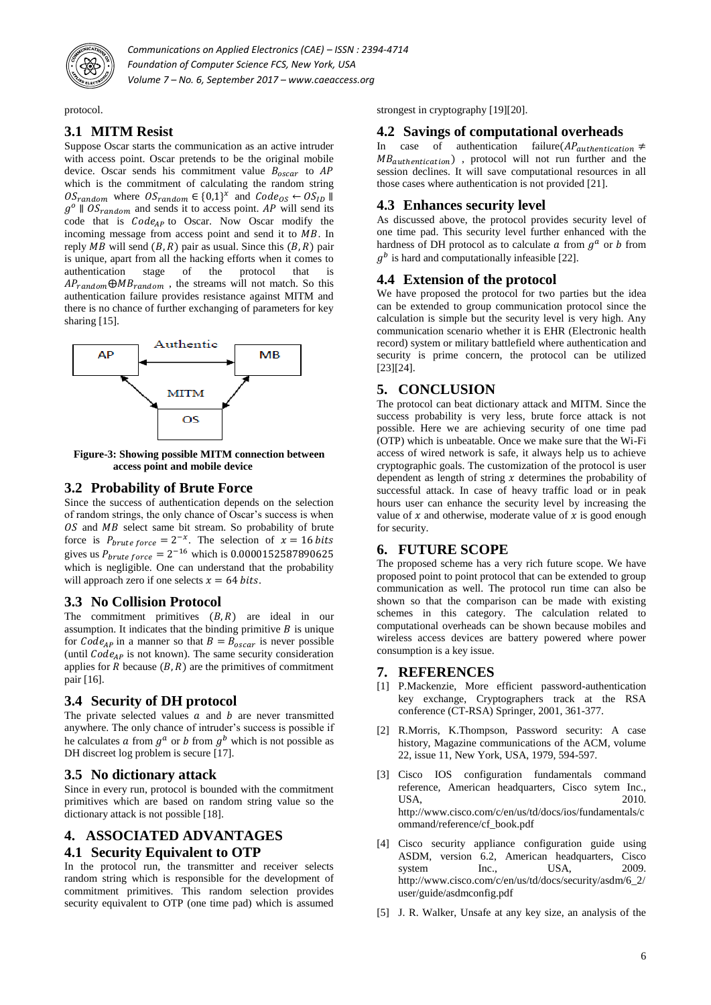

protocol.

# **3.1 MITM Resist**

Suppose Oscar starts the communication as an active intruder with access point. Oscar pretends to be the original mobile device. Oscar sends his commitment value  $B_{oscar}$  to  $AP$ which is the commitment of calculating the random string  $OS_{random}$  where  $OS_{random} \in \{0,1\}^{\chi}$  and  $g^{\circ}$  ||  $OS_{random}$  and sends it to access point. AP will send its code that is  $Code_{AP}$  to Oscar. Now Oscar modify the incoming message from access point and send it to  $MB$ . In reply MB will send  $(B, R)$  pair as usual. Since this  $(B, R)$  pair is unique, apart from all the hacking efforts when it comes to authentication stage of the protocol that is  $AP_{random} \oplus MB_{random}$ , the streams will not match. So this authentication failure provides resistance against MITM and there is no chance of further exchanging of parameters for key sharing [15].



 **Figure-3: Showing possible MITM connection between access point and mobile device**

## **3.2 Probability of Brute Force**

Since the success of authentication depends on the selection of random strings, the only chance of Oscar's success is when  $OS$  and  $MB$  select same bit stream. So probability of brute force is  $P_{brute force} = 2^{-x}$ . The selection of gives us  $P_{brute force} = 2^{-16}$  which is which is negligible. One can understand that the probability will approach zero if one selects  $x = 64$  bits.

## **3.3 No Collision Protocol**

The commitment primitives  $(B, R)$  are ideal in our assumption. It indicates that the binding primitive  $B$  is unique for  $Code_{AP}$  in a manner so that  $B = B_{oscar}$  is never possible (until  $Code_{AP}$  is not known). The same security consideration applies for  $R$  because  $(B, R)$  are the primitives of commitment pair [16].

## **3.4 Security of DH protocol**

The private selected values  $\alpha$  and  $\beta$  are never transmitted anywhere. The only chance of intruder's success is possible if he calculates a from  $g^a$  or b from  $g^b$  which is not possible as DH discreet log problem is secure [17].

## **3.5 No dictionary attack**

Since in every run, protocol is bounded with the commitment primitives which are based on random string value so the dictionary attack is not possible [18].

#### **4. ASSOCIATED ADVANTAGES**

#### **4.1 Security Equivalent to OTP**

In the protocol run, the transmitter and receiver selects random string which is responsible for the development of commitment primitives. This random selection provides security equivalent to OTP (one time pad) which is assumed

strongest in cryptography [19][20].

## **4.2 Savings of computational overheads**

In case of authentication failure  $(AP_{authentication} \neq$  $MB_{authentication}$ , protocol will not run further and the session declines. It will save computational resources in all those cases where authentication is not provided [21].

#### **4.3 Enhances security level**

As discussed above, the protocol provides security level of one time pad. This security level further enhanced with the hardness of DH protocol as to calculate  $a$  from  $g^a$  or  $b$  from  $g<sup>b</sup>$  is hard and computationally infeasible [22].

#### **4.4 Extension of the protocol**

We have proposed the protocol for two parties but the idea can be extended to group communication protocol since the calculation is simple but the security level is very high. Any communication scenario whether it is EHR (Electronic health record) system or military battlefield where authentication and security is prime concern, the protocol can be utilized [23][24].

# **5. CONCLUSION**

The protocol can beat dictionary attack and MITM. Since the success probability is very less, brute force attack is not possible. Here we are achieving security of one time pad (OTP) which is unbeatable. Once we make sure that the Wi-Fi access of wired network is safe, it always help us to achieve cryptographic goals. The customization of the protocol is user dependent as length of string  $x$  determines the probability of successful attack. In case of heavy traffic load or in peak hours user can enhance the security level by increasing the value of  $x$  and otherwise, moderate value of  $x$  is good enough for security.

## **6. FUTURE SCOPE**

The proposed scheme has a very rich future scope. We have proposed point to point protocol that can be extended to group communication as well. The protocol run time can also be shown so that the comparison can be made with existing schemes in this category. The calculation related to computational overheads can be shown because mobiles and wireless access devices are battery powered where power consumption is a key issue.

#### **7. REFERENCES**

- [1] P.Mackenzie, More efficient password-authentication key exchange, Cryptographers track at the RSA conference (CT-RSA) Springer, 2001, 361-377.
- [2] R.Morris, K.Thompson, Password security: A case history, Magazine communications of the ACM, volume 22, issue 11, New York, USA, 1979, 594-597.
- [3] Cisco IOS configuration fundamentals command reference, American headquarters, Cisco sytem Inc., USA, 2010. http://www.cisco.com/c/en/us/td/docs/ios/fundamentals/c ommand/reference/cf\_book.pdf
- [4] Cisco security appliance configuration guide using ASDM, version 6.2, American headquarters, Cisco<br>system Inc., USA, 2009, system Inc., http://www.cisco.com/c/en/us/td/docs/security/asdm/6\_2/ user/guide/asdmconfig.pdf
- [5] J. R. Walker, Unsafe at any key size, an analysis of the